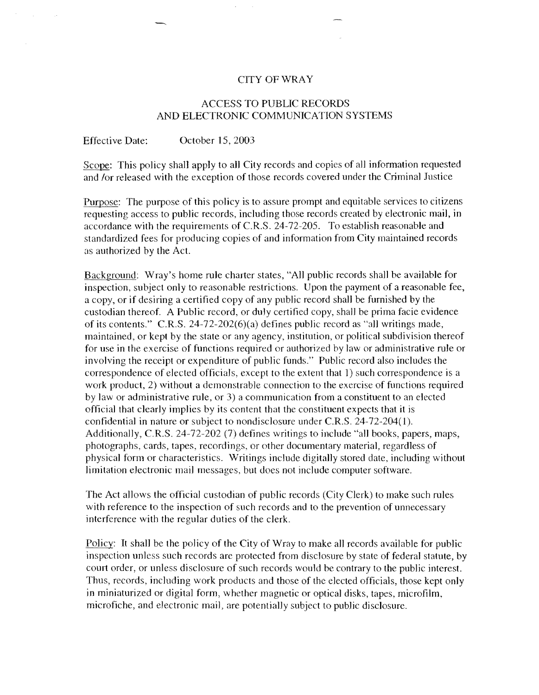### CITYOFWRAY

### ACCESS TO PUBLIC RECORDS AND ELECTRONIC COMMUNICATION SYSTEMS

Effective Date: October 15, 2003

Scope: This policy shall apply to all City records and copies of all information requested and *lor* released with the exception of those records covered under the Criminal Justice

Purpose: The purpose of this policy is to assure prompt and equitable services to citizens requesting access to public records, including those records created by electronic mail, in accordance with the requirements of C.RS. 24-72-205. To establish reasonable and standardized fees for producing copies of and information from City maintained records as authorized by the Act.

Background: Wray's home rule charter states, "All public records shall be available for inspection, subject only to reasonable restrictions. Upon the payment of a reasonable fee, a copy, or if desiring a certified copy of any public record shall be furnished by the custodian thereof. A Public record, or duly certified copy, shall be prima facie evidence of its contents." C.RS. 24-72-202(6)(a) defines public record as "all writings made, maintained, or kept by the state or any agency, institution, or political subdivision thereof for use in the exercise of functions required or authorized by law or administrative rule or involving the receipt or expenditure of public funds." Public record also includes the correspondence of elected officials, except to the extent that 1) such correspondence is a work product, 2) without a demonstrable connection to the exercise of functions required by law or administrative rule, or 3) a communication from a constituent to an elected official that dearly implies by its content that the constituent expects that it is confidential in nature or subject to nondisclosure under C.RS. 24-72-204(1). Additionally, C.RS. 24-72-202 (7) defines writings to include "all books, papers, maps, photographs, cards, tapes, recordings, or other documentary material, regardless of physical form or characteristics. Writings include digitally stored date, including without limitation electronic mail messages, but does not include computer software.

The Act allows the official custodian of public records (City Clerk) to make such rules with reference to the inspection of such records and to the prevention of unnecessary interference with the regular duties of the clerk.

Policy: **It** shal1 be the policy of the City of Wray to make all records available for public inspection unless such records are protected from disclosure by state of federal statute, by court order, or unless disclosure of such records would be contrary to the public interest. Thus, records, including work products and those of the elected officials, those kept only in miniaturized or digital form, whether magnetic or optical disks, tapes, microfilm, microfiche, and electronic mail, are potential1y subject to public disclosure.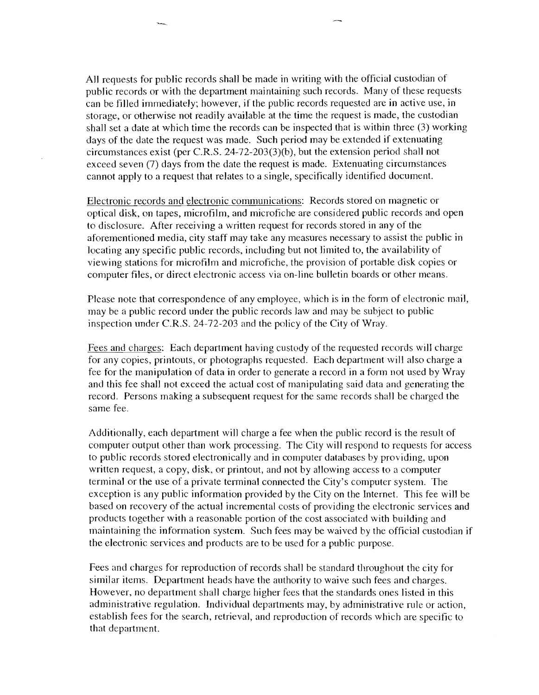All requests for public records shall be made in writing with the official custodian of public records or with the department maintaining such records. Many of these requests can be filled immediately; however, if the public records requested are in active use, in storage, or otherwise not readily available at the time the request is made, the custodian shall set a date at which time the records can be inspected that is within three (3) working days of the date the request was made. Such period may be extended if extenuating circumstances exist (per CR.S. 24-72-203(3)(b), but the extension period shall not exceed seven (7) days from the date the request is made. Extenuating circumstances cannot apply to a request that relates to a single, specifically identified document.

~

Electronic records and electronic communications: Records stored on magnetic or optical disk, on tapes, microfilm, and microfiche are considered public records and open to disclosure. After receiving a written request for records stored in any of the aforementioned media, city staff may take any measures necessary to assist the public in locating any specific public records, including but not limited to, the availability of viewing stations for microfilm and microfiche, the provision of portable disk copies or computer files, or direct electronic access via on-line bulletin boards or other means.

Please note that correspondence of any employee, which is in the form of electronic mail, may be a public record under the public records law and may be subject to public inspection under CR.S. 24-72-203 and the policy of the City of \Vray.

Fees and charges: Each department having custody of the requested records will charge for any copies, printouts, or photographs requested. Each department wil1 also charge a fee for the manipulation of data in order to generate a record in a form not used by Wray and this fee shall not exceed the actual cost of manipulating said data and generating the record. Persons making a subsequent request for the same records shall be charged the same fee.

Additionally, each department will charge a fee when the public record is the result of computer output other than work processing. The City will respond to requests for access to public records stored electronically and in computer databases by providing, upon written request, a copy, disk, or printout, and not by allowing access to a computer terminal or the use of a private terminal connected the City's computer system. The exception is any public information provided by the City on the Internet. This fee will be based on recovery of the actual incremental costs of providing the electronic services and products together with a reasonable portion of the cost associated with building and maintaining the information system. Such fees may be waived by the official custodian if the electronic services and products are to be used for a public purpose.

Fees and charges for reproduction of records shall be standard throughout the city for similar items. Department heads have the authority to waive such fees and charges. However, no department shall charge higher fees that the standards ones listed in this administrative regulation. Individua1 departments may, by administrative rule or action, establish fees for the search, retrieva1, and reproduction of records which are specific to that department.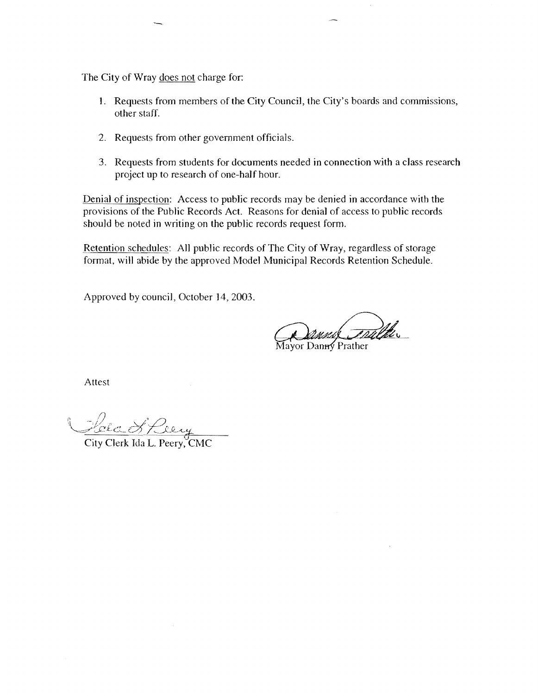The City of Wray does not charge for:

--

- 1. Requests from members of the City Council, the City's boards and commissions, other staff.
- 2. Requests from other government officials.
- 3. Requests from students for documents needed in connection with a cJass research project up to research of one-half hour.

Denial of inspection: Access to public records may be denied in accordance with the provisions of the Public Records Act. Reasons for denial of access to public records should be noted in writing on the public records request form.

Retention schedules: All public records of The City of Wray, regardless of storage format, will abide by the approved Model Municipal Records Retention Schedule.

Approved by council, October 14,2003.

und Tralthe

Mayor Danny Prather

Attest

City Clerk Ida L. Peery, CMC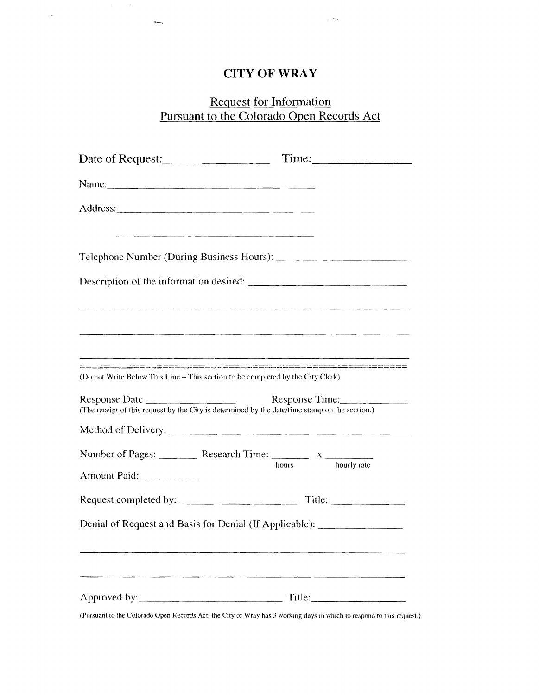# **CITYOFWRAY**

 $\sim$   $\sim$ 

 $\bar{\gamma}$ 

## Request for Information Pursuant to the Colorado Open Records Act

| Date of Request: Time:                                                                                          |                      |
|-----------------------------------------------------------------------------------------------------------------|----------------------|
|                                                                                                                 |                      |
|                                                                                                                 |                      |
|                                                                                                                 |                      |
|                                                                                                                 |                      |
|                                                                                                                 |                      |
| (Do not Write Below This Line - This section to be completed by the City Clerk)                                 |                      |
| Response Date<br>(The receipt of this request by the City is determined by the date/time stamp on the section.) | Response Time:       |
|                                                                                                                 |                      |
| Amount Paid:                                                                                                    | hourly rate<br>hours |
|                                                                                                                 |                      |
| Denial of Request and Basis for Denial (If Applicable): ________________________                                |                      |
|                                                                                                                 | Title:               |

(Pursuant 10 the Colorado Open Records Act, the City of Wray has 3 working days in which to respond to this request.)